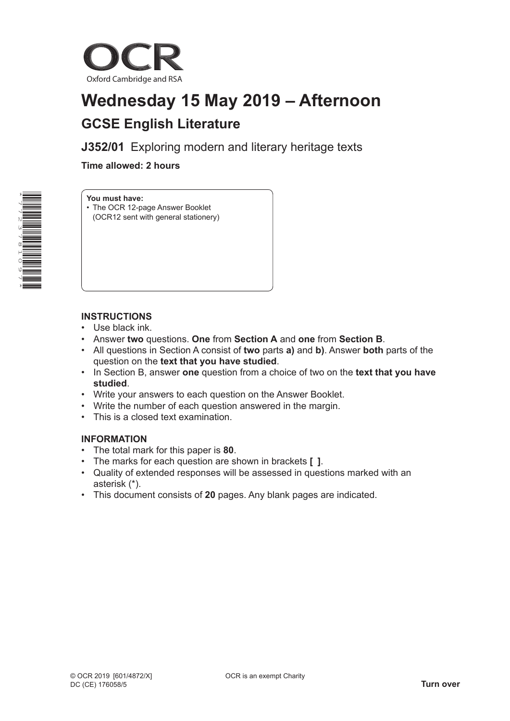

# **Wednesday 15 May 2019 – Afternoon GCSE English Literature**

**J352/01** Exploring modern and literary heritage texts

 **Time allowed: 2 hours** 



# **You must have:**

• The OCR 12-page Answer Booklet (OCR12 sent with general stationery)

# **INSTRUCTIONS**

- Use black ink.
- Answer **two** questions. **One** from **Section A** and **one** from **Section B**.
- All questions in Section A consist of **two** parts **a)** and **b)**. Answer **both** parts of the question on the **text that you have studied**.
- In Section B, answer **one** question from a choice of two on the **text that you have studied**.
- Write your answers to each question on the Answer Booklet.
- Write the number of each question answered in the margin.
- This is a closed text examination.

# **INFORMATION**

- The total mark for this paper is **80**.
- The marks for each question are shown in brackets **[ ]**.
- Quality of extended responses will be assessed in questions marked with an asterisk (\*).
- This document consists of **20** pages. Any blank pages are indicated.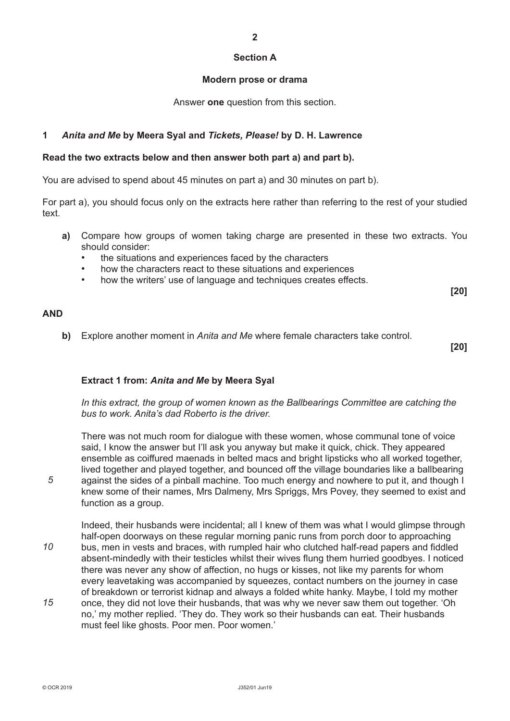#### **Section A**

**2**

#### **Modern prose or drama**

Answer **one** question from this section.

## **1** *Anita and Me* **by Meera Syal and** *Tickets, Please!* **by D. H. Lawrence**

#### **Read the two extracts below and then answer both part a) and part b).**

You are advised to spend about 45 minutes on part a) and 30 minutes on part b).

For part a), you should focus only on the extracts here rather than referring to the rest of your studied text.

- **a)** Compare how groups of women taking charge are presented in these two extracts. You should consider:
	- the situations and experiences faced by the characters
	- how the characters react to these situations and experiences
	- how the writers' use of language and techniques creates effects.

**[20]**

# **AND**

*5*

*10*

**b)** Explore another moment in *Anita and Me* where female characters take control.

**[20]**

#### **Extract 1 from:** *Anita and Me* **by Meera Syal**

*In this extract, the group of women known as the Ballbearings Committee are catching the bus to work. Anita's dad Roberto is the driver.*

There was not much room for dialogue with these women, whose communal tone of voice said, I know the answer but I'll ask you anyway but make it quick, chick. They appeared ensemble as coiffured maenads in belted macs and bright lipsticks who all worked together, lived together and played together, and bounced off the village boundaries like a ballbearing against the sides of a pinball machine. Too much energy and nowhere to put it, and though I knew some of their names, Mrs Dalmeny, Mrs Spriggs, Mrs Povey, they seemed to exist and function as a group.

Indeed, their husbands were incidental; all I knew of them was what I would glimpse through half-open doorways on these regular morning panic runs from porch door to approaching bus, men in vests and braces, with rumpled hair who clutched half-read papers and fiddled absent-mindedly with their testicles whilst their wives flung them hurried goodbyes. I noticed there was never any show of affection, no hugs or kisses, not like my parents for whom every leavetaking was accompanied by squeezes, contact numbers on the journey in case of breakdown or terrorist kidnap and always a folded white hanky. Maybe, I told my mother

once, they did not love their husbands, that was why we never saw them out together. 'Oh no,' my mother replied. 'They do. They work so their husbands can eat. Their husbands must feel like ghosts. Poor men. Poor women.' *15*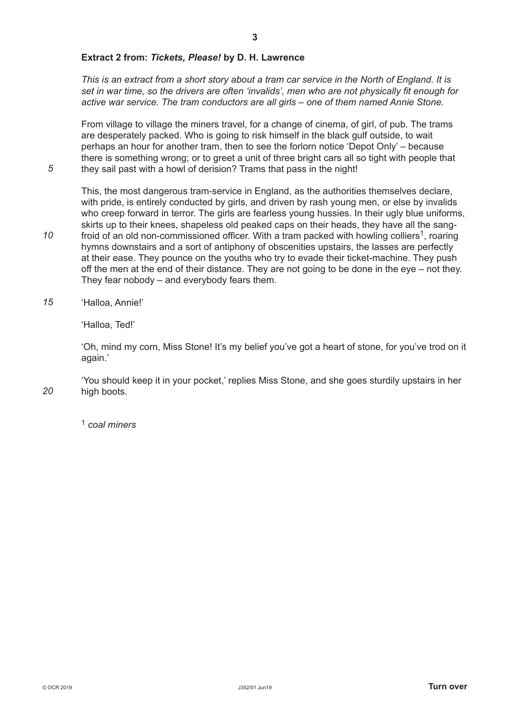# **Extract 2 from:** *Tickets, Please!* **by D. H. Lawrence**

*This is an extract from a short story about a tram car service in the North of England. It is set in war time, so the drivers are often 'invalids', men who are not physically fit enough for active war service. The tram conductors are all girls – one of them named Annie Stone.*

From village to village the miners travel, for a change of cinema, of girl, of pub. The trams are desperately packed. Who is going to risk himself in the black gulf outside, to wait perhaps an hour for another tram, then to see the forlorn notice 'Depot Only' – because there is something wrong; or to greet a unit of three bright cars all so tight with people that they sail past with a howl of derision? Trams that pass in the night!

This, the most dangerous tram-service in England, as the authorities themselves declare, with pride, is entirely conducted by girls, and driven by rash young men, or else by invalids who creep forward in terror. The girls are fearless young hussies. In their ugly blue uniforms, skirts up to their knees, shapeless old peaked caps on their heads, they have all the sangfroid of an old non-commissioned officer. With a tram packed with howling colliers<sup>1</sup>, roaring hymns downstairs and a sort of antiphony of obscenities upstairs, the lasses are perfectly at their ease. They pounce on the youths who try to evade their ticket-machine. They push off the men at the end of their distance. They are not going to be done in the eye – not they. They fear nobody – and everybody fears them.

'Halloa, Annie!' *15*

*5*

*10*

'Halloa, Ted!'

'Oh, mind my corn, Miss Stone! It's my belief you've got a heart of stone, for you've trod on it again.'

'You should keep it in your pocket,' replies Miss Stone, and she goes sturdily upstairs in her high boots. *20*

<sup>1</sup> *coal miners*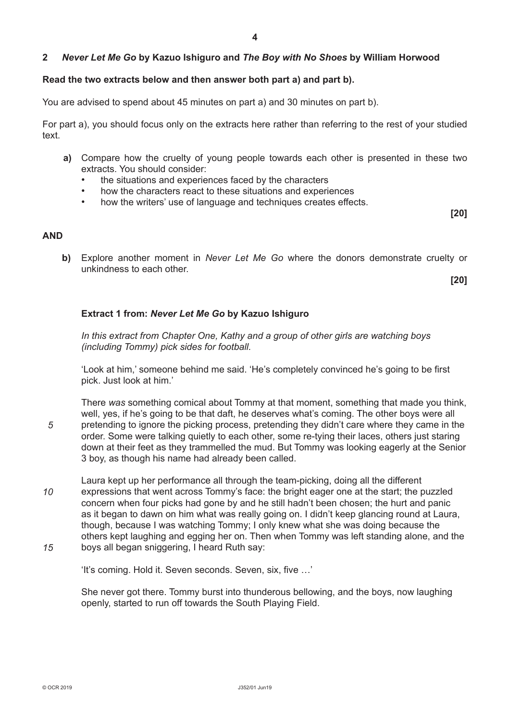# **2** *Never Let Me Go* **by Kazuo Ishiguro and** *The Boy with No Shoes* **by William Horwood**

#### **Read the two extracts below and then answer both part a) and part b).**

You are advised to spend about 45 minutes on part a) and 30 minutes on part b).

For part a), you should focus only on the extracts here rather than referring to the rest of your studied text.

- **a)** Compare how the cruelty of young people towards each other is presented in these two extracts. You should consider:
	- the situations and experiences faced by the characters
	- how the characters react to these situations and experiences
	- how the writers' use of language and techniques creates effects.

**[20]**

#### **AND**

*5*

**b)** Explore another moment in *Never Let Me Go* where the donors demonstrate cruelty or unkindness to each other.

**[20]**

## **Extract 1 from:** *Never Let Me Go* **by Kazuo Ishiguro**

*In this extract from Chapter One, Kathy and a group of other girls are watching boys (including Tommy) pick sides for football.*

'Look at him,' someone behind me said. 'He's completely convinced he's going to be first pick. Just look at him.'

- There *was* something comical about Tommy at that moment, something that made you think, well, yes, if he's going to be that daft, he deserves what's coming. The other boys were all pretending to ignore the picking process, pretending they didn't care where they came in the order. Some were talking quietly to each other, some re-tying their laces, others just staring down at their feet as they trammelled the mud. But Tommy was looking eagerly at the Senior 3 boy, as though his name had already been called.
- Laura kept up her performance all through the team-picking, doing all the different expressions that went across Tommy's face: the bright eager one at the start; the puzzled concern when four picks had gone by and he still hadn't been chosen; the hurt and panic as it began to dawn on him what was really going on. I didn't keep glancing round at Laura, though, because I was watching Tommy; I only knew what she was doing because the others kept laughing and egging her on. Then when Tommy was left standing alone, and the boys all began sniggering, I heard Ruth say: *10 15*
	-

'It's coming. Hold it. Seven seconds. Seven, six, five …'

She never got there. Tommy burst into thunderous bellowing, and the boys, now laughing openly, started to run off towards the South Playing Field.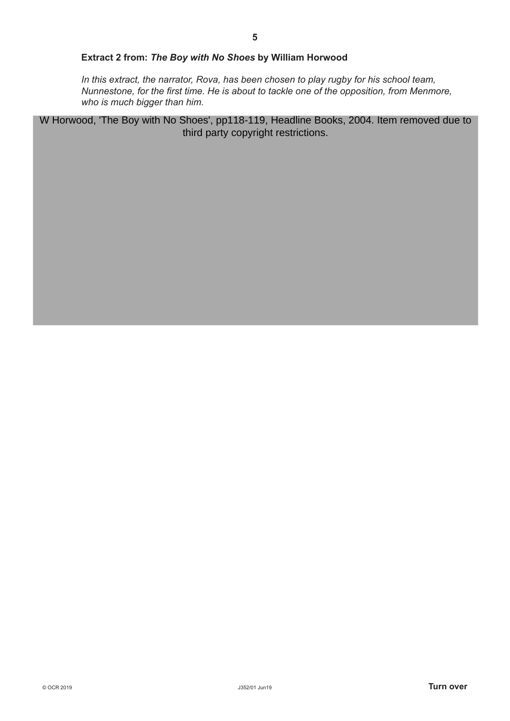#### **Extract 2 from:** *The Boy with No Shoes* **by William Horwood**

*In this extract, the narrator, Rova, has been chosen to play rugby for his school team, Nunnestone, for the first time. He is about to tackle one of the opposition, from Menmore, who is much bigger than him.* 

W Horwood, 'The Boy with No Shoes', pp118-119, Headline Books, 2004. Item removed due to third party copyright restrictions.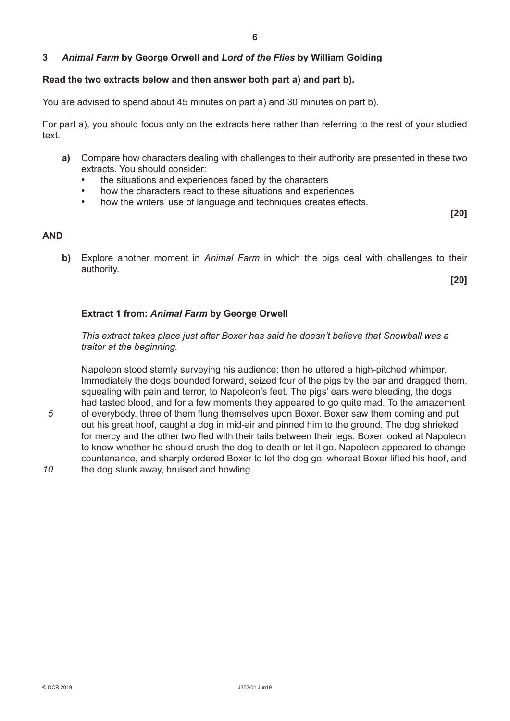# **3** *Animal Farm* **by George Orwell and** *Lord of the Flies* **by William Golding**

#### **Read the two extracts below and then answer both part a) and part b).**

You are advised to spend about 45 minutes on part a) and 30 minutes on part b).

For part a), you should focus only on the extracts here rather than referring to the rest of your studied text.

- **a)** Compare how characters dealing with challenges to their authority are presented in these two extracts. You should consider:
	- the situations and experiences faced by the characters
	- how the characters react to these situations and experiences
	- how the writers' use of language and techniques creates effects.

**[20]**

## **AND**

**b)** Explore another moment in *Animal Farm* in which the pigs deal with challenges to their authority.

**[20]**

## **Extract 1 from:** *Animal Farm* **by George Orwell**

*This extract takes place just after Boxer has said he doesn't believe that Snowball was a traitor at the beginning.*

Napoleon stood sternly surveying his audience; then he uttered a high-pitched whimper. Immediately the dogs bounded forward, seized four of the pigs by the ear and dragged them, squealing with pain and terror, to Napoleon's feet. The pigs' ears were bleeding, the dogs had tasted blood, and for a few moments they appeared to go quite mad. To the amazement

of everybody, three of them flung themselves upon Boxer. Boxer saw them coming and put out his great hoof, caught a dog in mid-air and pinned him to the ground. The dog shrieked for mercy and the other two fled with their tails between their legs. Boxer looked at Napoleon to know whether he should crush the dog to death or let it go. Napoleon appeared to change countenance, and sharply ordered Boxer to let the dog go, whereat Boxer lifted his hoof, and the dog slunk away, bruised and howling. *5 10*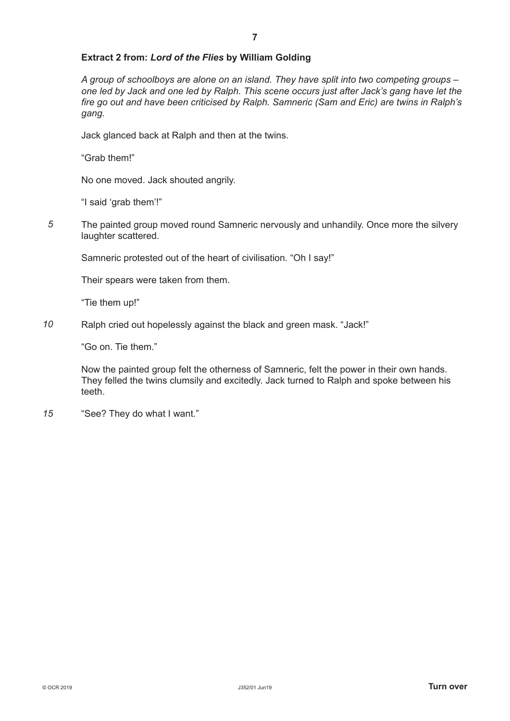# **Extract 2 from:** *Lord of the Flies* **by William Golding**

*A group of schoolboys are alone on an island. They have split into two competing groups – one led by Jack and one led by Ralph. This scene occurs just after Jack's gang have let the fire go out and have been criticised by Ralph. Samneric (Sam and Eric) are twins in Ralph's gang.*

Jack glanced back at Ralph and then at the twins.

"Grab them!"

No one moved. Jack shouted angrily.

"I said 'grab them'!"

The painted group moved round Samneric nervously and unhandily. Once more the silvery laughter scattered. *5*

Samneric protested out of the heart of civilisation. "Oh I say!"

Their spears were taken from them.

"Tie them up!"

Ralph cried out hopelessly against the black and green mask. "Jack!" *10*

"Go on. Tie them."

Now the painted group felt the otherness of Samneric, felt the power in their own hands. They felled the twins clumsily and excitedly. Jack turned to Ralph and spoke between his teeth.

"See? They do what I want." *15*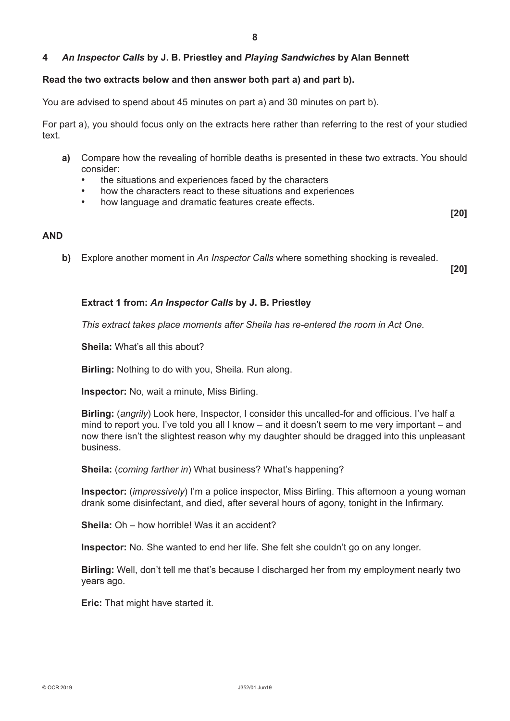# **4** *An Inspector Calls* **by J. B. Priestley and** *Playing Sandwiches* **by Alan Bennett**

# **Read the two extracts below and then answer both part a) and part b).**

You are advised to spend about 45 minutes on part a) and 30 minutes on part b).

For part a), you should focus only on the extracts here rather than referring to the rest of your studied text.

- **a)** Compare how the revealing of horrible deaths is presented in these two extracts. You should consider:
	- the situations and experiences faced by the characters
	- how the characters react to these situations and experiences
	- how language and dramatic features create effects.

**[20]**

## **AND**

**b)** Explore another moment in *An Inspector Calls* where something shocking is revealed.

**[20]**

## **Extract 1 from:** *An Inspector Calls* **by J. B. Priestley**

*This extract takes place moments after Sheila has re-entered the room in Act One.*

 **Sheila:** What's all this about?

 **Birling:** Nothing to do with you, Sheila. Run along.

 **Inspector:** No, wait a minute, Miss Birling.

 **Birling:** (*angrily*) Look here, Inspector, I consider this uncalled-for and officious. I've half a mind to report you. I've told you all I know – and it doesn't seem to me very important – and now there isn't the slightest reason why my daughter should be dragged into this unpleasant business.

 **Sheila:** (*coming farther in*) What business? What's happening?

 **Inspector:** (*impressively*) I'm a police inspector, Miss Birling. This afternoon a young woman drank some disinfectant, and died, after several hours of agony, tonight in the Infirmary.

 **Sheila:** Oh – how horrible! Was it an accident?

 **Inspector:** No. She wanted to end her life. She felt she couldn't go on any longer.

 **Birling:** Well, don't tell me that's because I discharged her from my employment nearly two years ago.

**Eric:** That might have started it.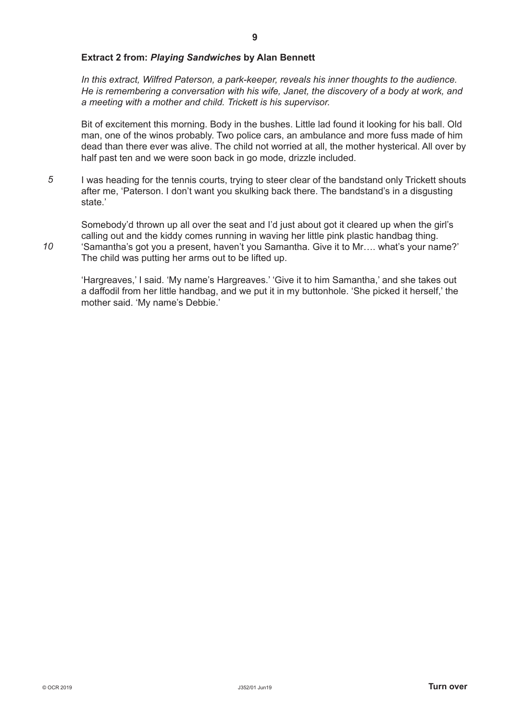#### **Extract 2 from:** *Playing Sandwiches* **by Alan Bennett**

*In this extract, Wilfred Paterson, a park-keeper, reveals his inner thoughts to the audience. He is remembering a conversation with his wife, Janet, the discovery of a body at work, and a meeting with a mother and child. Trickett is his supervisor.*

Bit of excitement this morning. Body in the bushes. Little lad found it looking for his ball. Old man, one of the winos probably. Two police cars, an ambulance and more fuss made of him dead than there ever was alive. The child not worried at all, the mother hysterical. All over by half past ten and we were soon back in go mode, drizzle included.

I was heading for the tennis courts, trying to steer clear of the bandstand only Trickett shouts after me, 'Paterson. I don't want you skulking back there. The bandstand's in a disgusting state.' *5*

Somebody'd thrown up all over the seat and I'd just about got it cleared up when the girl's calling out and the kiddy comes running in waving her little pink plastic handbag thing. 'Samantha's got you a present, haven't you Samantha. Give it to Mr…. what's your name?' The child was putting her arms out to be lifted up.

'Hargreaves,' I said. 'My name's Hargreaves.' 'Give it to him Samantha,' and she takes out a daffodil from her little handbag, and we put it in my buttonhole. 'She picked it herself,' the mother said. 'My name's Debbie.'

*10*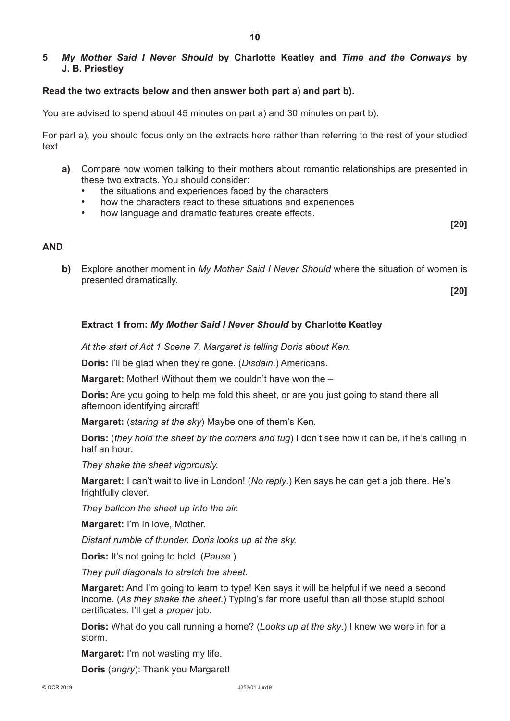#### **5** *My Mother Said I Never Should* **by Charlotte Keatley and** *Time and the Conways* **by J. B. Priestley**

#### **Read the two extracts below and then answer both part a) and part b).**

You are advised to spend about 45 minutes on part a) and 30 minutes on part b).

For part a), you should focus only on the extracts here rather than referring to the rest of your studied text.

- **a)** Compare how women talking to their mothers about romantic relationships are presented in these two extracts. You should consider:
	- the situations and experiences faced by the characters
	- how the characters react to these situations and experiences
	- how language and dramatic features create effects.

**[20]**

#### **AND**

**b)** Explore another moment in *My Mother Said I Never Should* where the situation of women is presented dramatically.

**[20]**

#### **Extract 1 from:** *My Mother Said I Never Should* **by Charlotte Keatley**

*At the start of Act 1 Scene 7, Margaret is telling Doris about Ken.*

 **Doris:** I'll be glad when they're gone. (*Disdain*.) Americans.

**Margaret:** Mother! Without them we couldn't have won the –

 **Doris:** Are you going to help me fold this sheet, or are you just going to stand there all afternoon identifying aircraft!

 **Margaret:** (*staring at the sky*) Maybe one of them's Ken.

 **Doris:** (*they hold the sheet by the corners and tug*) I don't see how it can be, if he's calling in half an hour.

*They shake the sheet vigorously.*

 **Margaret:** I can't wait to live in London! (*No reply*.) Ken says he can get a job there. He's frightfully clever.

*They balloon the sheet up into the air.*

 **Margaret:** I'm in love, Mother.

*Distant rumble of thunder. Doris looks up at the sky.*

 **Doris:** It's not going to hold. (*Pause*.)

*They pull diagonals to stretch the sheet.*

 **Margaret:** And I'm going to learn to type! Ken says it will be helpful if we need a second income. (*As they shake the sheet*.) Typing's far more useful than all those stupid school certificates. I'll get a *proper* job.

 **Doris:** What do you call running a home? (*Looks up at the sky*.) I knew we were in for a storm.

 **Margaret:** I'm not wasting my life.

 **Doris** (*angry*): Thank you Margaret!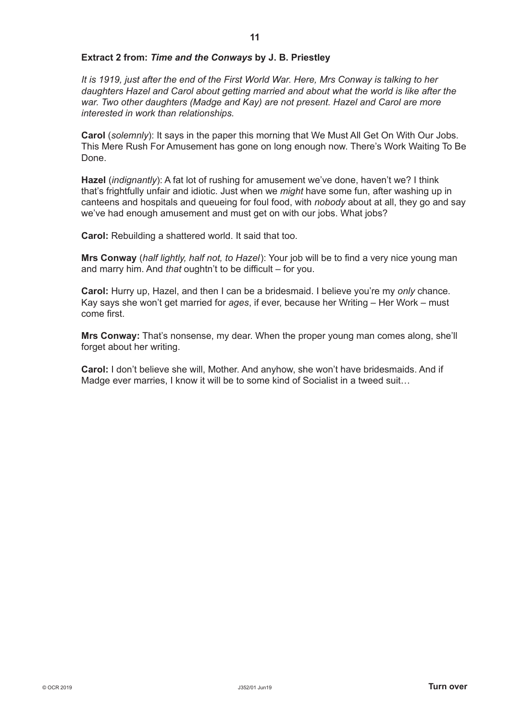#### **Extract 2 from:** *Time and the Conways* **by J. B. Priestley**

*It is 1919, just after the end of the First World War. Here, Mrs Conway is talking to her daughters Hazel and Carol about getting married and about what the world is like after the war. Two other daughters (Madge and Kay) are not present. Hazel and Carol are more interested in work than relationships.*

 **Carol** (*solemnly*): It says in the paper this morning that We Must All Get On With Our Jobs. This Mere Rush For Amusement has gone on long enough now. There's Work Waiting To Be Done.

 **Hazel** (*indignantly*): A fat lot of rushing for amusement we've done, haven't we? I think that's frightfully unfair and idiotic. Just when we *might* have some fun, after washing up in canteens and hospitals and queueing for foul food, with *nobody* about at all, they go and say we've had enough amusement and must get on with our jobs. What jobs?

 **Carol:** Rebuilding a shattered world. It said that too.

 **Mrs Conway** (*half lightly, half not, to Hazel*): Your job will be to find a very nice young man and marry him. And *that* oughtn't to be difficult – for you.

 **Carol:** Hurry up, Hazel, and then I can be a bridesmaid. I believe you're my *only* chance. Kay says she won't get married for *ages*, if ever, because her Writing – Her Work – must come first.

 **Mrs Conway:** That's nonsense, my dear. When the proper young man comes along, she'll forget about her writing.

 **Carol:** I don't believe she will, Mother. And anyhow, she won't have bridesmaids. And if Madge ever marries, I know it will be to some kind of Socialist in a tweed suit…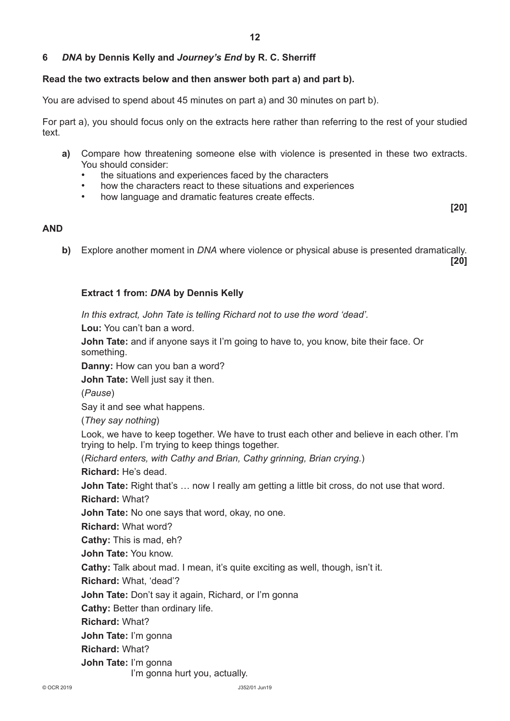# **6** *DNA* **by Dennis Kelly and** *Journey's End* **by R. C. Sherriff**

#### **Read the two extracts below and then answer both part a) and part b).**

You are advised to spend about 45 minutes on part a) and 30 minutes on part b).

For part a), you should focus only on the extracts here rather than referring to the rest of your studied text.

- **a)** Compare how threatening someone else with violence is presented in these two extracts. You should consider:
	- the situations and experiences faced by the characters
	- how the characters react to these situations and experiences
	- how language and dramatic features create effects.

**[20]**

## **AND**

**b)** Explore another moment in *DNA* where violence or physical abuse is presented dramatically.

**[20]**

## **Extract 1 from:** *DNA* **by Dennis Kelly**

*In this extract, John Tate is telling Richard not to use the word 'dead'.*

 **Lou:** You can't ban a word.

 **John Tate:** and if anyone says it I'm going to have to, you know, bite their face. Or something.

 **Danny:** How can you ban a word?

 **John Tate:** Well just say it then.

(*Pause*)

Say it and see what happens.

(*They say nothing*)

Look, we have to keep together. We have to trust each other and believe in each other. I'm trying to help. I'm trying to keep things together.

(*Richard enters, with Cathy and Brian, Cathy grinning, Brian crying.*)

 **Richard:** He's dead.

**John Tate:** Right that's ... now I really am getting a little bit cross, do not use that word.

 **Richard:** What?

 **John Tate:** No one says that word, okay, no one.

 **Richard:** What word?

 **Cathy:** This is mad, eh?

 **John Tate:** You know.

 **Cathy:** Talk about mad. I mean, it's quite exciting as well, though, isn't it.

 **Richard:** What, 'dead'?

**John Tate:** Don't say it again, Richard, or I'm gonna

 **Cathy:** Better than ordinary life.

 **Richard:** What?

 **John Tate:** I'm gonna

 **Richard:** What?

 **John Tate:** I'm gonna

I'm gonna hurt you, actually.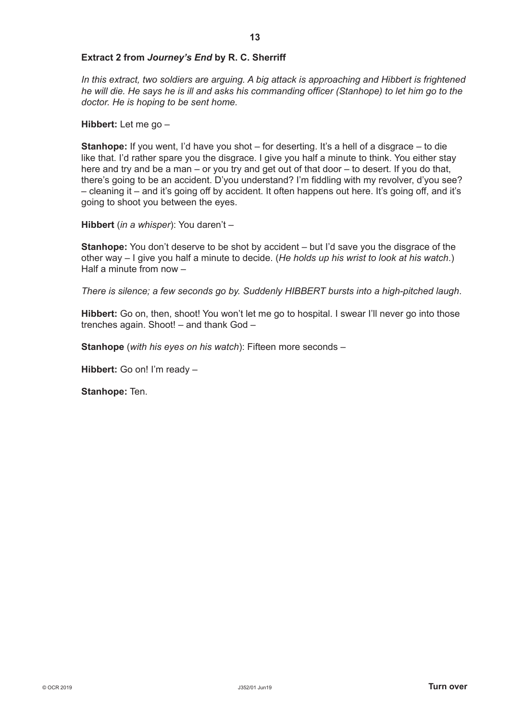# **Extract 2 from** *Journey's End* **by R. C. Sherriff**

*In this extract, two soldiers are arguing. A big attack is approaching and Hibbert is frightened he will die. He says he is ill and asks his commanding officer (Stanhope) to let him go to the doctor. He is hoping to be sent home.*

**Hibbert:** Let me go –

**Stanhope:** If you went, I'd have you shot – for deserting. It's a hell of a disgrace – to die like that. I'd rather spare you the disgrace. I give you half a minute to think. You either stay here and try and be a man – or you try and get out of that door – to desert. If you do that, there's going to be an accident. D'you understand? I'm fiddling with my revolver, d'you see? – cleaning it – and it's going off by accident. It often happens out here. It's going off, and it's going to shoot you between the eyes.

 **Hibbert** (*in a whisper*): You daren't –

 **Stanhope:** You don't deserve to be shot by accident – but I'd save you the disgrace of the other way – I give you half a minute to decide. (*He holds up his wrist to look at his watch*.) Half a minute from now –

*There is silence; a few seconds go by. Suddenly HIBBERT bursts into a high-pitched laugh*.

**Hibbert:** Go on, then, shoot! You won't let me go to hospital. I swear I'll never go into those trenches again. Shoot! – and thank God –

 **Stanhope** (*with his eyes on his watch*): Fifteen more seconds –

 **Hibbert:** Go on! I'm ready –

 **Stanhope:** Ten.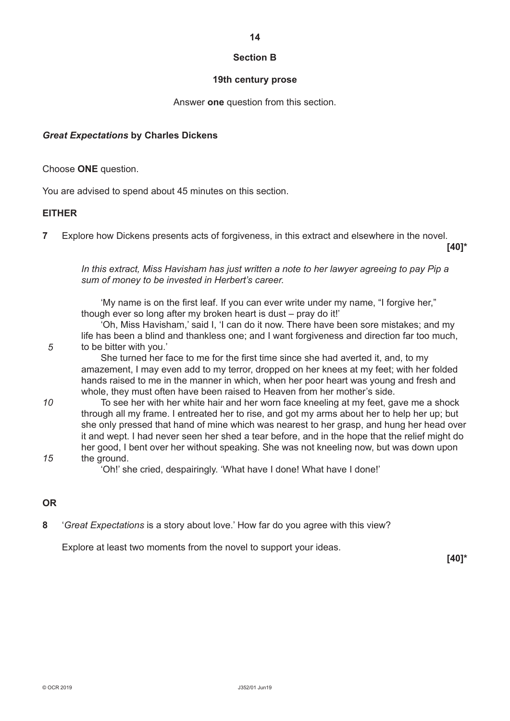#### **Section B**

#### **19th century prose**

Answer **one** question from this section.

#### *Great Expectations* **by Charles Dickens**

Choose **ONE** question.

You are advised to spend about 45 minutes on this section.

## **EITHER**

**7** Explore how Dickens presents acts of forgiveness, in this extract and elsewhere in the novel.

**[40]\***

*In this extract, Miss Havisham has just written a note to her lawyer agreeing to pay Pip a sum of money to be invested in Herbert's career.*

'My name is on the first leaf. If you can ever write under my name, "I forgive her," though ever so long after my broken heart is dust – pray do it!'

'Oh, Miss Havisham,' said I, 'I can do it now. There have been sore mistakes; and my life has been a blind and thankless one; and I want forgiveness and direction far too much, to be bitter with you.'

She turned her face to me for the first time since she had averted it, and, to my amazement, I may even add to my terror, dropped on her knees at my feet; with her folded hands raised to me in the manner in which, when her poor heart was young and fresh and whole, they must often have been raised to Heaven from her mother's side.

To see her with her white hair and her worn face kneeling at my feet, gave me a shock through all my frame. I entreated her to rise, and got my arms about her to help her up; but she only pressed that hand of mine which was nearest to her grasp, and hung her head over it and wept. I had never seen her shed a tear before, and in the hope that the relief might do her good, I bent over her without speaking. She was not kneeling now, but was down upon the ground. *10 15*

'Oh!' she cried, despairingly. 'What have I done! What have I done!'

# **OR**

*5*

**8** '*Great Expectations* is a story about love.' How far do you agree with this view?

Explore at least two moments from the novel to support your ideas.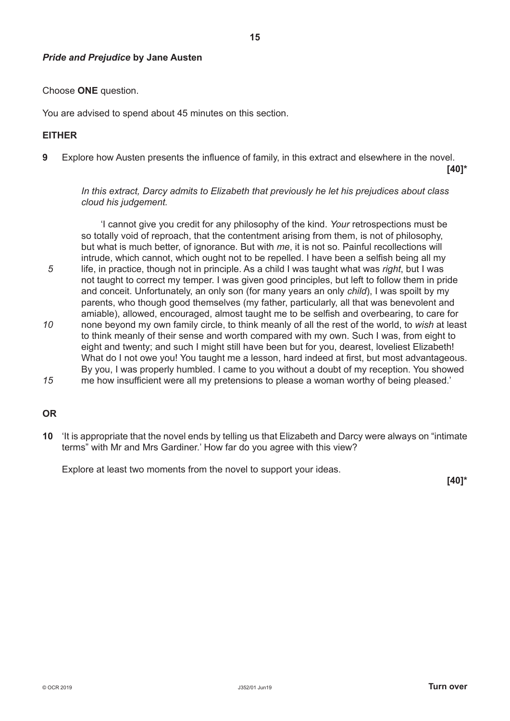#### *Pride and Prejudice* **by Jane Austen**

Choose **ONE** question.

You are advised to spend about 45 minutes on this section.

# **EITHER**

**9** Explore how Austen presents the influence of family, in this extract and elsewhere in the novel.

**[40]\***

# *In this extract, Darcy admits to Elizabeth that previously he let his prejudices about class cloud his judgement.*

'I cannot give you credit for any philosophy of the kind. *Your* retrospections must be so totally void of reproach, that the contentment arising from them, is not of philosophy, but what is much better, of ignorance. But with *me*, it is not so. Painful recollections will intrude, which cannot, which ought not to be repelled. I have been a selfish being all my

- life, in practice, though not in principle. As a child I was taught what was *right*, but I was not taught to correct my temper. I was given good principles, but left to follow them in pride and conceit. Unfortunately, an only son (for many years an only *child*), I was spoilt by my parents, who though good themselves (my father, particularly, all that was benevolent and amiable), allowed, encouraged, almost taught me to be selfish and overbearing, to care for *5*
- none beyond my own family circle, to think meanly of all the rest of the world, to *wish* at least to think meanly of their sense and worth compared with my own. Such I was, from eight to eight and twenty; and such I might still have been but for you, dearest, loveliest Elizabeth! What do I not owe you! You taught me a lesson, hard indeed at first, but most advantageous. By you, I was properly humbled. I came to you without a doubt of my reception. You showed *10*

#### me how insufficient were all my pretensions to please a woman worthy of being pleased.' *15*

# **OR**

**10** 'It is appropriate that the novel ends by telling us that Elizabeth and Darcy were always on "intimate terms" with Mr and Mrs Gardiner.' How far do you agree with this view?

Explore at least two moments from the novel to support your ideas.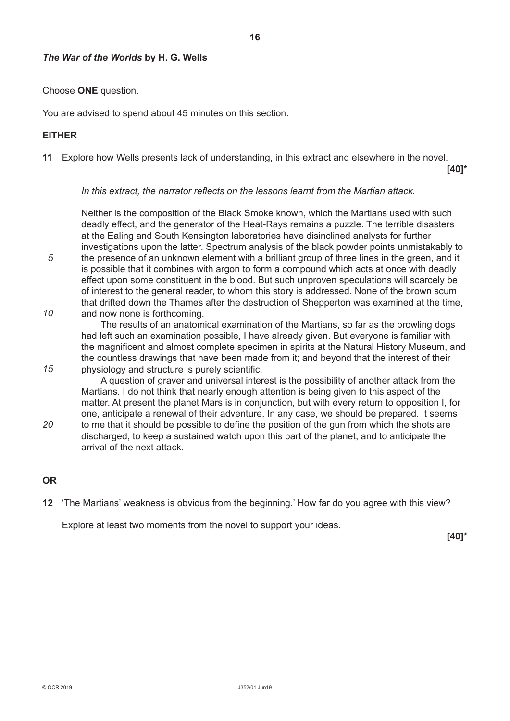#### *The War of the Worlds* **by H. G. Wells**

#### Choose **ONE** question.

You are advised to spend about 45 minutes on this section.

#### **EITHER**

*5*

*10*

*15*

**11** Explore how Wells presents lack of understanding, in this extract and elsewhere in the novel.

**[40]\***

#### *In this extract, the narrator reflects on the lessons learnt from the Martian attack.*

Neither is the composition of the Black Smoke known, which the Martians used with such deadly effect, and the generator of the Heat-Rays remains a puzzle. The terrible disasters at the Ealing and South Kensington laboratories have disinclined analysts for further investigations upon the latter. Spectrum analysis of the black powder points unmistakably to the presence of an unknown element with a brilliant group of three lines in the green, and it is possible that it combines with argon to form a compound which acts at once with deadly effect upon some constituent in the blood. But such unproven speculations will scarcely be of interest to the general reader, to whom this story is addressed. None of the brown scum that drifted down the Thames after the destruction of Shepperton was examined at the time, and now none is forthcoming.

The results of an anatomical examination of the Martians, so far as the prowling dogs had left such an examination possible, I have already given. But everyone is familiar with the magnificent and almost complete specimen in spirits at the Natural History Museum, and the countless drawings that have been made from it; and beyond that the interest of their physiology and structure is purely scientific.

A question of graver and universal interest is the possibility of another attack from the Martians. I do not think that nearly enough attention is being given to this aspect of the matter. At present the planet Mars is in conjunction, but with every return to opposition I, for one, anticipate a renewal of their adventure. In any case, we should be prepared. It seems

to me that it should be possible to define the position of the gun from which the shots are discharged, to keep a sustained watch upon this part of the planet, and to anticipate the arrival of the next attack. *20*

#### **OR**

**12** 'The Martians' weakness is obvious from the beginning.' How far do you agree with this view?

Explore at least two moments from the novel to support your ideas.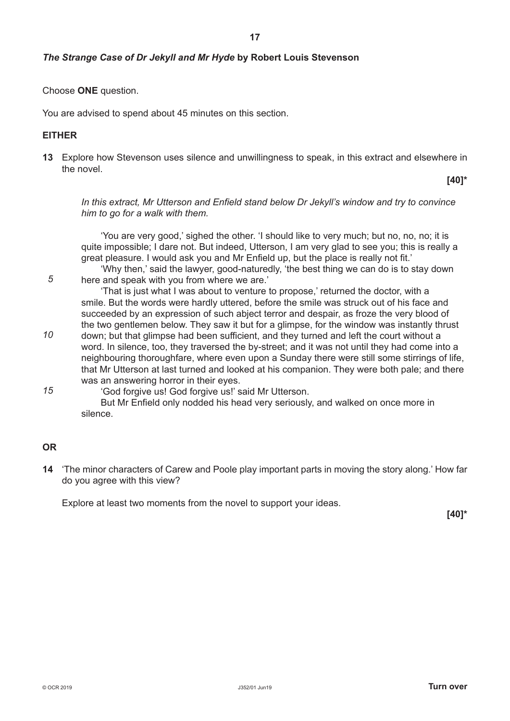# *The Strange Case of Dr Jekyll and Mr Hyde* **by Robert Louis Stevenson**

Choose **ONE** question.

You are advised to spend about 45 minutes on this section.

#### **EITHER**

**13** Explore how Stevenson uses silence and unwillingness to speak, in this extract and elsewhere in the novel.

**[40]\***

*In this extract, Mr Utterson and Enfield stand below Dr Jekyll's window and try to convince him to go for a walk with them.*

'You are very good,' sighed the other. 'I should like to very much; but no, no, no; it is quite impossible; I dare not. But indeed, Utterson, I am very glad to see you; this is really a great pleasure. I would ask you and Mr Enfield up, but the place is really not fit.'

'Why then,' said the lawyer, good-naturedly, 'the best thing we can do is to stay down here and speak with you from where we are.' *5*

'That is just what I was about to venture to propose,' returned the doctor, with a smile. But the words were hardly uttered, before the smile was struck out of his face and succeeded by an expression of such abject terror and despair, as froze the very blood of the two gentlemen below. They saw it but for a glimpse, for the window was instantly thrust

- down; but that glimpse had been sufficient, and they turned and left the court without a word. In silence, too, they traversed the by-street; and it was not until they had come into a neighbouring thoroughfare, where even upon a Sunday there were still some stirrings of life, that Mr Utterson at last turned and looked at his companion. They were both pale; and there was an answering horror in their eyes. *10*
- 'God forgive us! God forgive us!' said Mr Utterson. But Mr Enfield only nodded his head very seriously, and walked on once more in silence. *15*

# **OR**

**14** 'The minor characters of Carew and Poole play important parts in moving the story along.' How far do you agree with this view?

Explore at least two moments from the novel to support your ideas.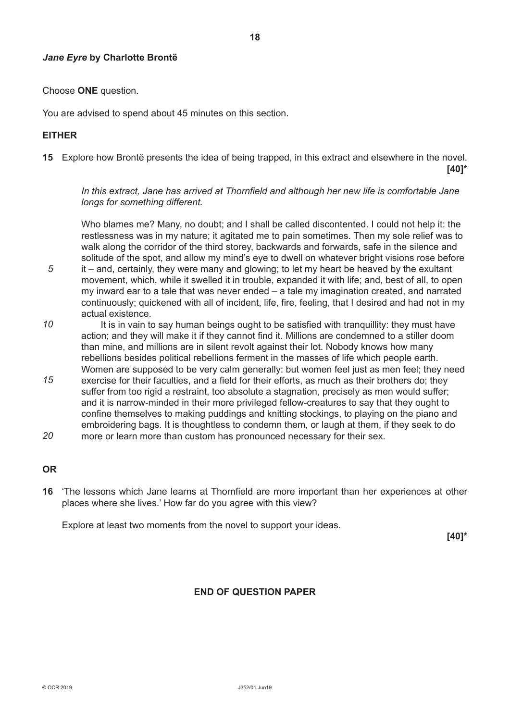# *Jane Eyre* **by Charlotte Brontë**

Choose **ONE** question.

You are advised to spend about 45 minutes on this section.

## **EITHER**

**15** Explore how Brontë presents the idea of being trapped, in this extract and elsewhere in the novel. **[40]\***

*In this extract, Jane has arrived at Thornfield and although her new life is comfortable Jane longs for something different.*

Who blames me? Many, no doubt; and I shall be called discontented. I could not help it: the restlessness was in my nature; it agitated me to pain sometimes. Then my sole relief was to walk along the corridor of the third storey, backwards and forwards, safe in the silence and solitude of the spot, and allow my mind's eye to dwell on whatever bright visions rose before

- it and, certainly, they were many and glowing; to let my heart be heaved by the exultant movement, which, while it swelled it in trouble, expanded it with life; and, best of all, to open my inward ear to a tale that was never ended – a tale my imagination created, and narrated continuously; quickened with all of incident, life, fire, feeling, that I desired and had not in my actual existence. *5*
- It is in vain to say human beings ought to be satisfied with tranquillity: they must have action; and they will make it if they cannot find it. Millions are condemned to a stiller doom than mine, and millions are in silent revolt against their lot. Nobody knows how many rebellions besides political rebellions ferment in the masses of life which people earth. Women are supposed to be very calm generally: but women feel just as men feel; they need *10*
- exercise for their faculties, and a field for their efforts, as much as their brothers do; they suffer from too rigid a restraint, too absolute a stagnation, precisely as men would suffer; and it is narrow-minded in their more privileged fellow-creatures to say that they ought to confine themselves to making puddings and knitting stockings, to playing on the piano and embroidering bags. It is thoughtless to condemn them, or laugh at them, if they seek to do *15*
- more or learn more than custom has pronounced necessary for their sex. *20*

#### **OR**

**16** 'The lessons which Jane learns at Thornfield are more important than her experiences at other places where she lives.' How far do you agree with this view?

Explore at least two moments from the novel to support your ideas.

**[40]\***

# **END OF QUESTION PAPER**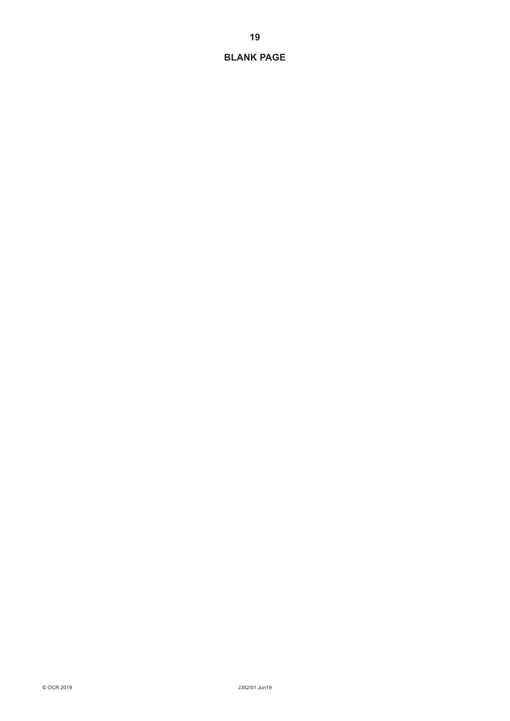# **BLANK PAGE**

**19**